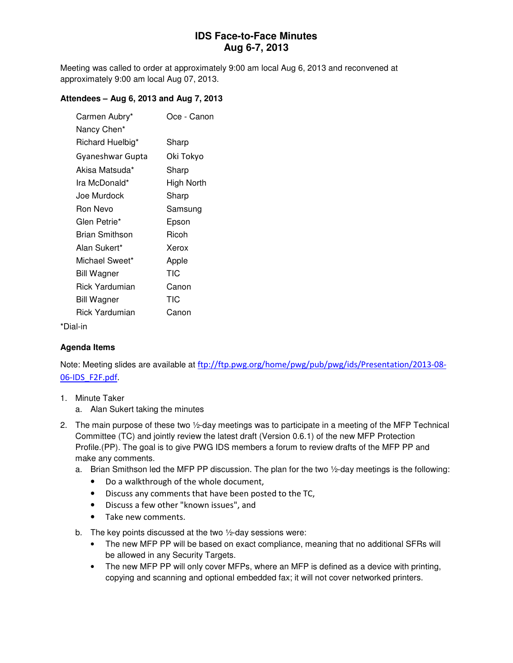# **IDS Face-to-Face Minutes Aug 6-7, 2013**

Meeting was called to order at approximately 9:00 am local Aug 6, 2013 and reconvened at approximately 9:00 am local Aug 07, 2013.

#### **Attendees – Aug 6, 2013 and Aug 7, 2013**

| Carmen Aubry*         | Oce - Canon |
|-----------------------|-------------|
| Nancy Chen*           |             |
| Richard Huelbig*      | Sharp       |
| Gyaneshwar Gupta      | Oki Tokyo   |
| Akisa Matsuda*        | Sharp       |
| Ira McDonald*         | High North  |
| Joe Murdock           | Sharp       |
| Ron Nevo              | Samsung     |
| Glen Petrie*          | Epson       |
| <b>Brian Smithson</b> | Ricoh       |
| Alan Sukert*          | Xerox       |
| Michael Sweet*        | Apple       |
| Bill Wagner           | TIC         |
| Rick Yardumian        | Canon       |
| <b>Bill Wagner</b>    | TIC         |
| Rick Yardumian        | Canon       |
| .                     |             |

\*Dial-in

#### **Agenda Items**

Note: Meeting slides are available at ftp://ftp.pwg.org/home/pwg/pub/pwg/ids/Presentation/2013-08- 06-IDS\_F2F.pdf.

- 1. Minute Taker
	- a. Alan Sukert taking the minutes
- 2. The main purpose of these two ½-day meetings was to participate in a meeting of the MFP Technical Committee (TC) and jointly review the latest draft (Version 0.6.1) of the new MFP Protection Profile.(PP). The goal is to give PWG IDS members a forum to review drafts of the MFP PP and make any comments.
	- a. Brian Smithson led the MFP PP discussion. The plan for the two ½-day meetings is the following:
		- Do a walkthrough of the whole document,
		- Discuss any comments that have been posted to the TC,
		- Discuss a few other "known issues", and
		- Take new comments.
	- b. The key points discussed at the two ½-day sessions were:
		- The new MFP PP will be based on exact compliance, meaning that no additional SFRs will be allowed in any Security Targets.
		- The new MFP PP will only cover MFPs, where an MFP is defined as a device with printing, copying and scanning and optional embedded fax; it will not cover networked printers.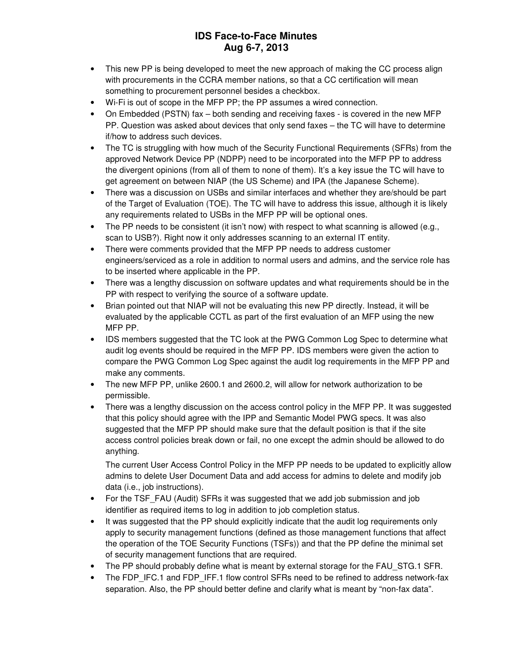# **IDS Face-to-Face Minutes Aug 6-7, 2013**

- This new PP is being developed to meet the new approach of making the CC process align with procurements in the CCRA member nations, so that a CC certification will mean something to procurement personnel besides a checkbox.
- Wi-Fi is out of scope in the MFP PP; the PP assumes a wired connection.
- On Embedded (PSTN) fax both sending and receiving faxes is covered in the new MFP PP. Question was asked about devices that only send faxes – the TC will have to determine if/how to address such devices.
- The TC is struggling with how much of the Security Functional Requirements (SFRs) from the approved Network Device PP (NDPP) need to be incorporated into the MFP PP to address the divergent opinions (from all of them to none of them). It's a key issue the TC will have to get agreement on between NIAP (the US Scheme) and IPA (the Japanese Scheme).
- There was a discussion on USBs and similar interfaces and whether they are/should be part of the Target of Evaluation (TOE). The TC will have to address this issue, although it is likely any requirements related to USBs in the MFP PP will be optional ones.
- The PP needs to be consistent (it isn't now) with respect to what scanning is allowed (e.g., scan to USB?). Right now it only addresses scanning to an external IT entity.
- There were comments provided that the MFP PP needs to address customer engineers/serviced as a role in addition to normal users and admins, and the service role has to be inserted where applicable in the PP.
- There was a lengthy discussion on software updates and what requirements should be in the PP with respect to verifying the source of a software update.
- Brian pointed out that NIAP will not be evaluating this new PP directly. Instead, it will be evaluated by the applicable CCTL as part of the first evaluation of an MFP using the new MFP PP.
- IDS members suggested that the TC look at the PWG Common Log Spec to determine what audit log events should be required in the MFP PP. IDS members were given the action to compare the PWG Common Log Spec against the audit log requirements in the MFP PP and make any comments.
- The new MFP PP, unlike 2600.1 and 2600.2, will allow for network authorization to be permissible.
- There was a lengthy discussion on the access control policy in the MFP PP. It was suggested that this policy should agree with the IPP and Semantic Model PWG specs. It was also suggested that the MFP PP should make sure that the default position is that if the site access control policies break down or fail, no one except the admin should be allowed to do anything.

The current User Access Control Policy in the MFP PP needs to be updated to explicitly allow admins to delete User Document Data and add access for admins to delete and modify job data (i.e., job instructions).

- For the TSF\_FAU (Audit) SFRs it was suggested that we add job submission and job identifier as required items to log in addition to job completion status.
- It was suggested that the PP should explicitly indicate that the audit log requirements only apply to security management functions (defined as those management functions that affect the operation of the TOE Security Functions (TSFs)) and that the PP define the minimal set of security management functions that are required.
- The PP should probably define what is meant by external storage for the FAU STG.1 SFR.
- The FDP\_IFC.1 and FDP\_IFF.1 flow control SFRs need to be refined to address network-fax separation. Also, the PP should better define and clarify what is meant by "non-fax data".